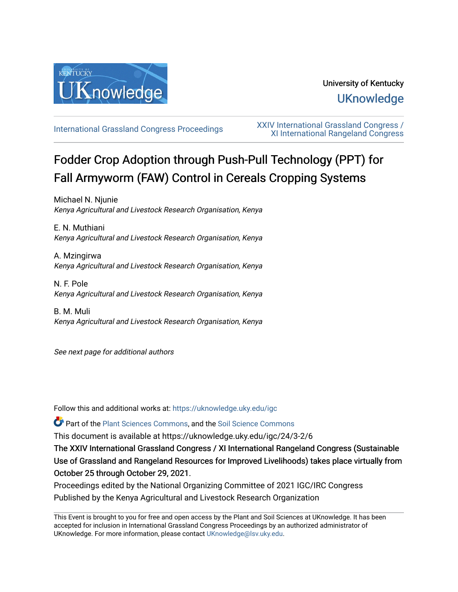

# University of Kentucky **UKnowledge**

[International Grassland Congress Proceedings](https://uknowledge.uky.edu/igc) [XXIV International Grassland Congress /](https://uknowledge.uky.edu/igc/24)  [XI International Rangeland Congress](https://uknowledge.uky.edu/igc/24) 

# Fodder Crop Adoption through Push-Pull Technology (PPT) for Fall Armyworm (FAW) Control in Cereals Cropping Systems

Michael N. Njunie Kenya Agricultural and Livestock Research Organisation, Kenya

E. N. Muthiani Kenya Agricultural and Livestock Research Organisation, Kenya

A. Mzingirwa Kenya Agricultural and Livestock Research Organisation, Kenya

N. F. Pole Kenya Agricultural and Livestock Research Organisation, Kenya

B. M. Muli Kenya Agricultural and Livestock Research Organisation, Kenya

See next page for additional authors

Follow this and additional works at: [https://uknowledge.uky.edu/igc](https://uknowledge.uky.edu/igc?utm_source=uknowledge.uky.edu%2Figc%2F24%2F3-2%2F6&utm_medium=PDF&utm_campaign=PDFCoverPages) 

Part of the [Plant Sciences Commons](http://network.bepress.com/hgg/discipline/102?utm_source=uknowledge.uky.edu%2Figc%2F24%2F3-2%2F6&utm_medium=PDF&utm_campaign=PDFCoverPages), and the [Soil Science Commons](http://network.bepress.com/hgg/discipline/163?utm_source=uknowledge.uky.edu%2Figc%2F24%2F3-2%2F6&utm_medium=PDF&utm_campaign=PDFCoverPages) 

This document is available at https://uknowledge.uky.edu/igc/24/3-2/6

The XXIV International Grassland Congress / XI International Rangeland Congress (Sustainable Use of Grassland and Rangeland Resources for Improved Livelihoods) takes place virtually from October 25 through October 29, 2021.

Proceedings edited by the National Organizing Committee of 2021 IGC/IRC Congress Published by the Kenya Agricultural and Livestock Research Organization

This Event is brought to you for free and open access by the Plant and Soil Sciences at UKnowledge. It has been accepted for inclusion in International Grassland Congress Proceedings by an authorized administrator of UKnowledge. For more information, please contact [UKnowledge@lsv.uky.edu](mailto:UKnowledge@lsv.uky.edu).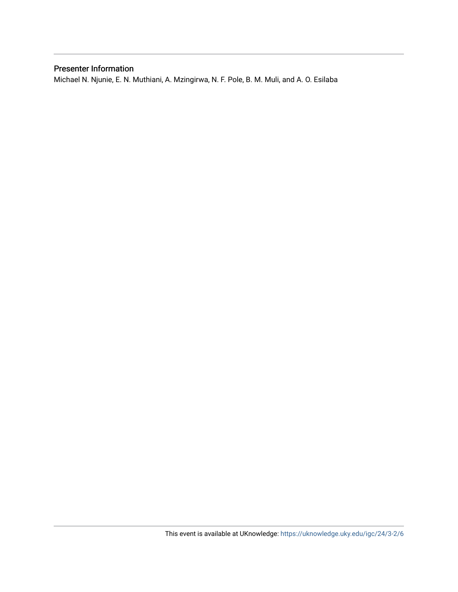# Presenter Information

Michael N. Njunie, E. N. Muthiani, A. Mzingirwa, N. F. Pole, B. M. Muli, and A. O. Esilaba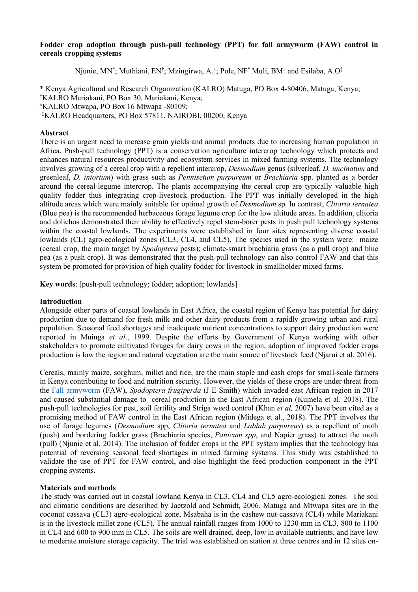## **Fodder crop adoption through push-pull technology (PPT) for fall armyworm (FAW) control in cereals cropping systems**

Njunie, MN<sup>\*</sup>; Muthiani, EN<sup>†</sup>; Mzingirwa, A.<sup>±</sup>; Pole, NF<sup>\*</sup> Muli, BM<sup>±</sup> and Esilaba, A.O<sup>‡</sup>

\* Kenya Agricultural and Research Organization (KALRO) Matuga, PO Box 4-80406, Matuga, Kenya; † KALRO Mariakani, PO Box 30, Mariakani, Kenya; ±  $KALRO$  Mtwapa, PO Box 16 Mtwapa -80109; ‡ KALRO Headquarters, PO Box 57811, NAIROBI, 00200, Kenya

# **Abstract**

There is an urgent need to increase grain yields and animal products due to increasing human population in Africa. Push-pull technology (PPT) is a conservation agriculture intercrop technology which protects and enhances natural resources productivity and ecosystem services in mixed farming systems. The technology involves growing of a cereal crop with a repellent intercrop, *Desmodium* genus (silverleaf, *D. uncinatum* and greenleaf, *D. intortum*) with grass such as *Pennisetum purpureum* or *Brachiaria* spp. planted as a border around the cereal-legume intercrop. The plants accompanying the cereal crop are typically valuable high quality fodder thus integrating crop-livestock production. The PPT was initially developed in the high altitude areas which were mainly suitable for optimal growth of *Desmodium* sp. In contrast, *Clitoria ternatea* (Blue pea) is the recommended herbaceous forage legume crop for the low altitude areas. In addition, clitoria and dolichos demonstrated their ability to effectively repel stem-borer pests in push pull technology systems within the coastal lowlands. The experiments were established in four sites representing diverse coastal lowlands (CL) agro-ecological zones (CL3, CL4, and CL5). The species used in the system were: maize (cereal crop, the main target by *Spodoptera* pests); climate-smart brachiaria grass (as a pull crop) and blue pea (as a push crop). It was demonstrated that the push-pull technology can also control FAW and that this system be promoted for provision of high quality fodder for livestock in smallholder mixed farms.

**Key words**: [push-pull technology; fodder; adoption; lowlands]

## **Introduction**

Alongside other parts of coastal lowlands in East Africa, the coastal region of Kenya has potential for dairy production due to demand for fresh milk and other dairy products from a rapidly growing urban and rural population. Seasonal feed shortages and inadequate nutrient concentrations to support dairy production were reported in Muinga *et al*., 1999. Despite the efforts by Government of Kenya working with other stakeholders to promote cultivated forages for dairy cows in the region, adoption of improved fodder crops production is low the region and natural vegetation are the main source of livestock feed (Njarui et al. 2016).

Cereals, mainly maize, sorghum, millet and rice, are the main staple and cash crops for small-scale farmers in Kenya contributing to food and nutrition security. However, the yields of these crops are under threat from the [Fall armyworm](https://www.sciencedirect.com/topics/agricultural-and-biological-sciences/fall-armyworm) (FAW), *Spodoptera frugiperda* (J E Smith) which invaded east African region in 2017 and caused substantial damage to cereal production in the East African region (Kumela et al. 2018). The push-pull technologies for pest, soil fertility and Striga weed control (Khan *et al,* 2007) have been cited as a promising method of FAW control in the East African region (Midega et al., 2018). The PPT involves the use of forage legumes (*Desmodium* spp, *Clitoria ternatea* and *Lablab purpureus*) as a repellent of moth (push) and bordering fodder grass (Brachiaria species, *Panicum spp*, and Napier grass) to attract the moth (pull) (Njunie et al, 2014). The inclusion of fodder crops in the PPT system implies that the technology has potential of reversing seasonal feed shortages in mixed farming systems. This study was established to validate the use of PPT for FAW control, and also highlight the feed production component in the PPT cropping systems.

## **Materials and methods**

The study was carried out in coastal lowland Kenya in CL3, CL4 and CL5 agro-ecological zones. The soil and climatic conditions are described by Jaetzold and Schmidt, 2006. Matuga and Mtwapa sites are in the coconut cassava (CL3) agro-ecological zone, Msabaha is in the cashew nut-cassava (CL4) while Mariakani is in the livestock millet zone (CL5). The annual rainfall ranges from 1000 to 1230 mm in CL3, 800 to 1100 in CL4 and 600 to 900 mm in CL5. The soils are well drained, deep, low in available nutrients, and have low to moderate moisture storage capacity. The trial was established on station at three centres and in 12 sites on-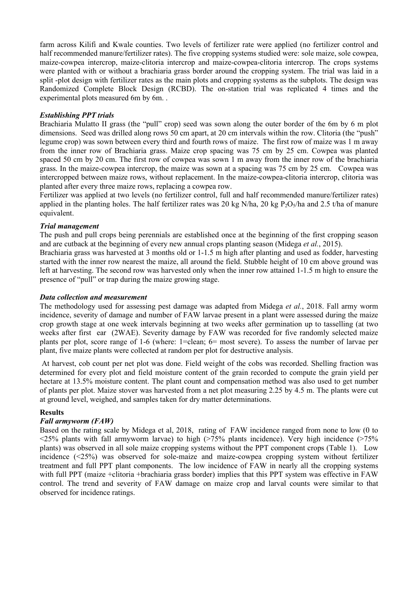farm across Kilifi and Kwale counties. Two levels of fertilizer rate were applied (no fertilizer control and half recommended manure/fertilizer rates). The five cropping systems studied were: sole maize, sole cowpea, maize-cowpea intercrop, maize-clitoria intercrop and maize-cowpea-clitoria intercrop. The crops systems were planted with or without a brachiaria grass border around the cropping system. The trial was laid in a split -plot design with fertilizer rates as the main plots and cropping systems as the subplots. The design was Randomized Complete Block Design (RCBD). The on-station trial was replicated 4 times and the experimental plots measured 6m by 6m. .

# *Establishing PPT trials*

Brachiaria Mulatto II grass (the "pull" crop) seed was sown along the outer border of the 6m by 6 m plot dimensions. Seed was drilled along rows 50 cm apart, at 20 cm intervals within the row. Clitoria (the "push" legume crop) was sown between every third and fourth rows of maize. The first row of maize was 1 m away from the inner row of Brachiaria grass. Maize crop spacing was 75 cm by 25 cm. Cowpea was planted spaced 50 cm by 20 cm. The first row of cowpea was sown 1 m away from the inner row of the brachiaria grass. In the maize-cowpea intercrop, the maize was sown at a spacing was 75 cm by 25 cm. Cowpea was intercropped between maize rows, without replacement. In the maize-cowpea-clitoria intercrop, clitoria was planted after every three maize rows, replacing a cowpea row.

Fertilizer was applied at two levels (no fertilizer control, full and half recommended manure/fertilizer rates) applied in the planting holes. The half fertilizer rates was 20 kg N/ha, 20 kg P<sub>2</sub>O<sub>5</sub>/ha and 2.5 t/ha of manure equivalent.

# *Trial management*

The push and pull crops being perennials are established once at the beginning of the first cropping season and are cutback at the beginning of every new annual crops planting season (Midega *et al.*, 2015).

Brachiaria grass was harvested at 3 months old or 1-1.5 m high after planting and used as fodder, harvesting started with the inner row nearest the maize, all around the field. Stubble height of 10 cm above ground was left at harvesting. The second row was harvested only when the inner row attained 1-1.5 m high to ensure the presence of "pull" or trap during the maize growing stage.

## *Data collection and measurement*

The methodology used for assessing pest damage was adapted from Midega *et al.*, 2018. Fall army worm incidence, severity of damage and number of FAW larvae present in a plant were assessed during the maize crop growth stage at one week intervals beginning at two weeks after germination up to tasselling (at two weeks after first ear (2WAE). Severity damage by FAW was recorded for five randomly selected maize plants per plot, score range of 1-6 (where: 1=clean; 6= most severe). To assess the number of larvae per plant, five maize plants were collected at random per plot for destructive analysis.

At harvest, cob count per net plot was done. Field weight of the cobs was recorded. Shelling fraction was determined for every plot and field moisture content of the grain recorded to compute the grain yield per hectare at 13.5% moisture content. The plant count and compensation method was also used to get number of plants per plot. Maize stover was harvested from a net plot measuring 2.25 by 4.5 m. The plants were cut at ground level, weighed, and samples taken for dry matter determinations.

# **Results**

# *Fall armyworm (FAW)*

Based on the rating scale by Midega et al, 2018, rating of FAW incidence ranged from none to low (0 to  $\leq$ 25% plants with fall armyworm larvae) to high ( $>$ 75% plants incidence). Very high incidence ( $>$ 75% plants) was observed in all sole maize cropping systems without the PPT component crops (Table 1). Low incidence (<25%) was observed for sole-maize and maize-cowpea cropping system without fertilizer treatment and full PPT plant components. The low incidence of FAW in nearly all the cropping systems with full PPT (maize +clitoria +brachiaria grass border) implies that this PPT system was effective in FAW control. The trend and severity of FAW damage on maize crop and larval counts were similar to that observed for incidence ratings.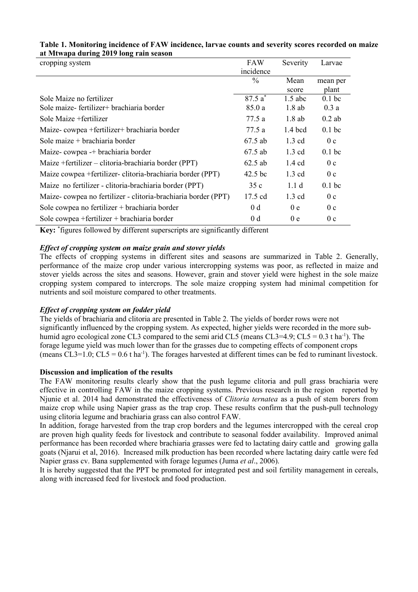| cropping system                                               | FAW            | Severity         | Larvae            |
|---------------------------------------------------------------|----------------|------------------|-------------------|
|                                                               | incidence      |                  |                   |
|                                                               | $\frac{0}{0}$  | Mean             | mean per          |
|                                                               |                | score            | plant             |
| Sole Maize no fertilizer                                      | $87.5a^*$      | $1.5$ abc        | $0.1$ bc          |
| Sole maize-fertilizer+ brachiaria border                      | 85.0 a         | $1.8$ ab         | 0.3a              |
| Sole Maize + fertilizer                                       | 77.5 a         | $1.8$ ab         | $0.2$ ab          |
| Maize-cowpea +fertilizer+ brachiaria border                   | 77.5 a         | $1.4$ bcd        | 0.1 <sub>bc</sub> |
| Sole maize $+$ brachiaria border                              | 67.5 ab        | $1.3 \text{ cd}$ | 0 <sub>c</sub>    |
| Maize-cowpea -+ brachiaria border                             | 67.5 ab        | $1.3 \text{ cd}$ | 0.1 <sub>bc</sub> |
| Maize + fertilizer – clitoria-brachiaria border (PPT)         | $62.5$ ab      | $1.4 \text{ cd}$ | 0 <sub>c</sub>    |
| Maize cowpea +fertilizer-clitoria-brachiaria border (PPT)     | $42.5$ bc      | $1.3 \text{ cd}$ | 0 <sub>c</sub>    |
| Maize no fertilizer - clitoria-brachiaria border (PPT)        | 35c            | 1.1 <sub>d</sub> | 0.1 <sub>bc</sub> |
| Maize-cowpea no fertilizer - clitoria-brachiaria border (PPT) | 17.5 cd        | $1.3 \text{ cd}$ | 0 <sub>c</sub>    |
| Sole cowpea no fertilizer + brachiaria border                 | 0 <sub>d</sub> | 0 <sub>e</sub>   | 0 <sub>c</sub>    |
| Sole cowpea +fertilizer + brachiaria border                   | 0 <sub>d</sub> | 0e               | 0 <sub>c</sub>    |

# **Table 1. Monitoring incidence of FAW incidence, larvae counts and severity scores recorded on maize at Mtwapa during 2019 long rain season**

**Key:** \* figures followed by different superscripts are significantly different

# *Effect of cropping system on maize grain and stover yields*

The effects of cropping systems in different sites and seasons are summarized in Table 2. Generally, performance of the maize crop under various intercropping systems was poor, as reflected in maize and stover yields across the sites and seasons. However, grain and stover yield were highest in the sole maize cropping system compared to intercrops. The sole maize cropping system had minimal competition for nutrients and soil moisture compared to other treatments.

# *Effect of cropping system on fodder yield*

The yields of brachiaria and clitoria are presented in Table 2. The yields of border rows were not significantly influenced by the cropping system. As expected, higher yields were recorded in the more subhumid agro ecological zone CL3 compared to the semi arid CL5 (means CL3=4.9;  $CL5 = 0.3$  t ha<sup>-1</sup>). The forage legume yield was much lower than for the grasses due to competing effects of component crops (means CL3=1.0; CL5 = 0.6 t ha<sup>-1</sup>). The forages harvested at different times can be fed to ruminant livestock.

## **Discussion and implication of the results**

The FAW monitoring results clearly show that the push legume clitoria and pull grass brachiaria were effective in controlling FAW in the maize cropping systems. Previous research in the region reported by Njunie et al. 2014 had demonstrated the effectiveness of *Clitoria ternatea* as a push of stem borers from maize crop while using Napier grass as the trap crop. These results confirm that the push-pull technology using clitoria legume and brachiaria grass can also control FAW.

In addition, forage harvested from the trap crop borders and the legumes intercropped with the cereal crop are proven high quality feeds for livestock and contribute to seasonal fodder availability. Improved animal performance has been recorded where brachiaria grasses were fed to lactating dairy cattle and growing galla goats (Njarui et al, 2016). Increased milk production has been recorded where lactating dairy cattle were fed Napier grass cv. Bana supplemented with forage legumes (Juma *et al*., 2006).

It is hereby suggested that the PPT be promoted for integrated pest and soil fertility management in cereals, along with increased feed for livestock and food production.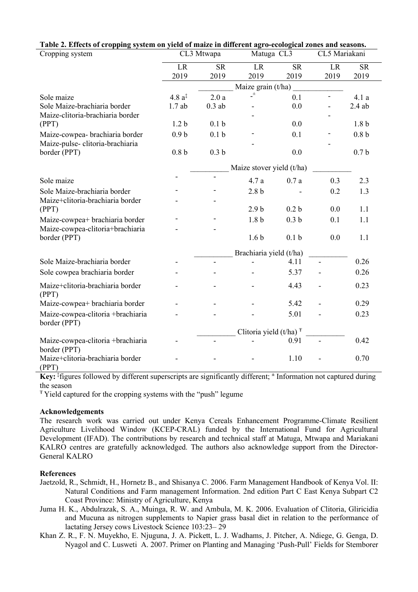|                                                   |                                      | Table 2. Effects of cropping system on yield of maize in different agro-ecological zones and seasons. |                     |                  |      |                  |  |  |
|---------------------------------------------------|--------------------------------------|-------------------------------------------------------------------------------------------------------|---------------------|------------------|------|------------------|--|--|
| Cropping system                                   |                                      | CL3 Mtwapa                                                                                            |                     | Matuga CL3       |      | CL5 Mariakani    |  |  |
|                                                   | LR                                   | <b>SR</b>                                                                                             | LR                  | <b>SR</b>        | LR   | <b>SR</b>        |  |  |
|                                                   | 2019                                 | 2019                                                                                                  | 2019                | 2019             | 2019 | 2019             |  |  |
|                                                   | Maize grain (t/ha)                   |                                                                                                       |                     |                  |      |                  |  |  |
| Sole maize                                        | 4.8 $a^{\ddagger}$                   | 2.0a                                                                                                  | $\mathbf{\_}^{\pm}$ | 0.1              |      | 4.1a             |  |  |
| Sole Maize-brachiaria border                      | 1.7ab                                | $0.3$ ab                                                                                              |                     | 0.0              |      | $2.4$ ab         |  |  |
| Maize-clitoria-brachiaria border                  |                                      |                                                                                                       |                     |                  |      |                  |  |  |
| (PPT)                                             | 1.2 <sub>b</sub>                     | 0.1 <sub>b</sub>                                                                                      |                     | 0.0              |      | 1.8 <sub>b</sub> |  |  |
| Maize-cowpea- brachiaria border                   | 0.9 <sub>b</sub>                     | 0.1 <sub>b</sub>                                                                                      |                     | 0.1              |      | 0.8 <sub>b</sub> |  |  |
| Maize-pulse-clitoria-brachiaria                   |                                      |                                                                                                       |                     |                  |      |                  |  |  |
| border (PPT)                                      | 0.8 <sub>b</sub>                     | 0.3 <sub>b</sub>                                                                                      |                     | 0.0              |      | 0.7 <sub>b</sub> |  |  |
|                                                   | Maize stover yield (t/ha)            |                                                                                                       |                     |                  |      |                  |  |  |
| Sole maize                                        |                                      | $\blacksquare$                                                                                        | 4.7 a               | 0.7a             | 0.3  | 2.3              |  |  |
| Sole Maize-brachiaria border                      |                                      |                                                                                                       | 2.8 <sub>b</sub>    |                  | 0.2  | 1.3              |  |  |
| Maize+clitoria-brachiaria border                  |                                      |                                                                                                       |                     |                  |      |                  |  |  |
| (PPT)                                             |                                      |                                                                                                       | 2.9 <sub>b</sub>    | 0.2 <sub>b</sub> | 0.0  | 1.1              |  |  |
| Maize-cowpea+ brachiaria border                   |                                      |                                                                                                       | 1.8 <sub>b</sub>    | 0.3 <sub>b</sub> | 0.1  | 1.1              |  |  |
| Maize-cowpea-clitoria+brachiaria                  |                                      |                                                                                                       |                     |                  |      |                  |  |  |
| border (PPT)                                      |                                      |                                                                                                       | 1.6 <sub>b</sub>    | 0.1 <sub>b</sub> | 0.0  | 1.1              |  |  |
|                                                   | Brachiaria yield (t/ha)              |                                                                                                       |                     |                  |      |                  |  |  |
| Sole Maize-brachiaria border                      |                                      | $\frac{1}{2}$                                                                                         |                     | 4.11             |      | 0.26             |  |  |
| Sole cowpea brachiaria border                     |                                      |                                                                                                       |                     | 5.37             |      | 0.26             |  |  |
| Maize+clitoria-brachiaria border<br>(PPT)         |                                      |                                                                                                       |                     | 4.43             |      | 0.23             |  |  |
| Maize-cowpea+ brachiaria border                   |                                      |                                                                                                       |                     | 5.42             |      | 0.29             |  |  |
| Maize-cowpea-clitoria +brachiaria<br>border (PPT) |                                      |                                                                                                       |                     | 5.01             |      | 0.23             |  |  |
|                                                   | Clitoria yield $(t/ha)$ <sup>T</sup> |                                                                                                       |                     |                  |      |                  |  |  |
| Maize-cowpea-clitoria +brachiaria<br>border (PPT) |                                      | $\frac{1}{2}$                                                                                         |                     | 0.91             |      | 0.42             |  |  |
| Maize+clitoria-brachiaria border<br>(PPT)         |                                      |                                                                                                       |                     | 1.10             |      | 0.70             |  |  |

# **Table 2. Effects of cropping system on yield of maize in different agro-ecological zones and seasons.**

**Key:** ‡ figures followed by different superscripts are significantly different; **<sup>±</sup>** Information not captured during the season

<sup>Ŧ</sup>Yield captured for the cropping systems with the "push" legume

## **Acknowledgements**

The research work was carried out under Kenya Cereals Enhancement Programme-Climate Resilient Agriculture Livelihood Window (KCEP-CRAL) funded by the International Fund for Agricultural Development (IFAD). The contributions by research and technical staff at Matuga, Mtwapa and Mariakani KALRO centres are gratefully acknowledged. The authors also acknowledge support from the Director-General KALRO

## **References**

- Jaetzold, R., Schmidt, H., Hornetz B., and Shisanya C. 2006. Farm Management Handbook of Kenya Vol. II: Natural Conditions and Farm management Information. 2nd edition Part C East Kenya Subpart C2 Coast Province: Ministry of Agriculture, Kenya
- Juma H. K., Abdulrazak, S. A., Muinga, R. W. and Ambula, M. K. 2006. Evaluation of Clitoria, Gliricidia and Mucuna as nitrogen supplements to Napier grass basal diet in relation to the performance of lactating Jersey cows Livestock Science 103:23– 29
- Khan Z. R., F. N. Muyekho, E. Njuguna, J. A. Pickett, L. J. Wadhams, J. Pitcher, A. Ndiege, G. Genga, D. Nyagol and C. Lusweti A. 2007. Primer on Planting and Managing 'Push-Pull' Fields for Stemborer